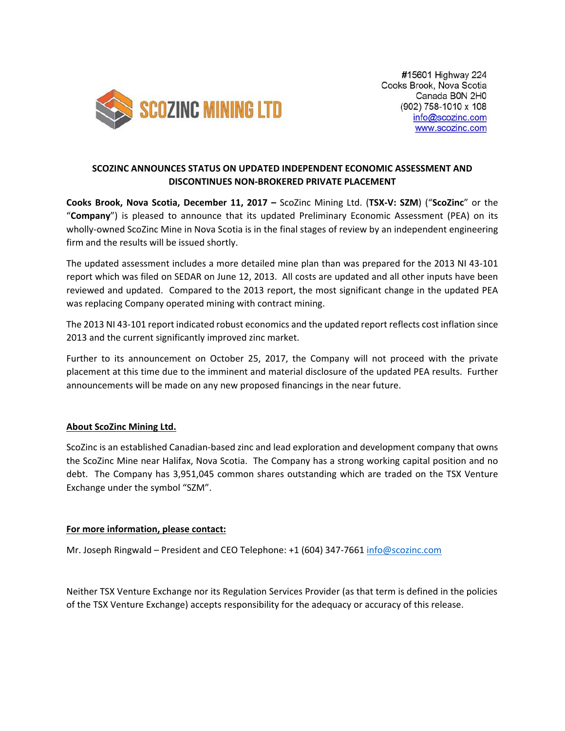

## **SCOZINC ANNOUNCES STATUS ON UPDATED INDEPENDENT ECONOMIC ASSESSMENT AND DISCONTINUES NON‐BROKERED PRIVATE PLACEMENT**

**Cooks Brook, Nova Scotia, December 11, 2017 –** ScoZinc Mining Ltd. (**TSX‐V: SZM**) ("**ScoZinc**" or the "**Company**") is pleased to announce that its updated Preliminary Economic Assessment (PEA) on its wholly-owned ScoZinc Mine in Nova Scotia is in the final stages of review by an independent engineering firm and the results will be issued shortly.

The updated assessment includes a more detailed mine plan than was prepared for the 2013 NI 43-101 report which was filed on SEDAR on June 12, 2013. All costs are updated and all other inputs have been reviewed and updated. Compared to the 2013 report, the most significant change in the updated PEA was replacing Company operated mining with contract mining.

The 2013 NI 43‐101 report indicated robust economics and the updated report reflects cost inflation since 2013 and the current significantly improved zinc market.

Further to its announcement on October 25, 2017, the Company will not proceed with the private placement at this time due to the imminent and material disclosure of the updated PEA results. Further announcements will be made on any new proposed financings in the near future.

## **About ScoZinc Mining Ltd.**

ScoZinc is an established Canadian‐based zinc and lead exploration and development company that owns the ScoZinc Mine near Halifax, Nova Scotia. The Company has a strong working capital position and no debt. The Company has 3,951,045 common shares outstanding which are traded on the TSX Venture Exchange under the symbol "SZM".

## **For more information, please contact:**

Mr. Joseph Ringwald – President and CEO Telephone: +1 (604) 347‐7661 info@scozinc.com

Neither TSX Venture Exchange nor its Regulation Services Provider (as that term is defined in the policies of the TSX Venture Exchange) accepts responsibility for the adequacy or accuracy of this release.